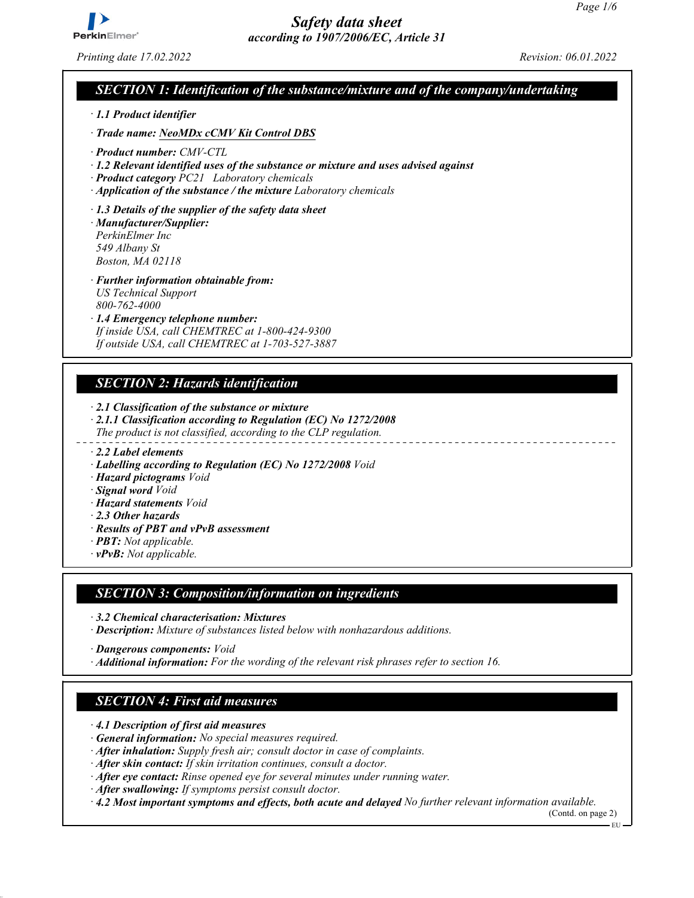

*Printing date 17.02.2022 Revision: 06.01.2022*

### *SECTION 1: Identification of the substance/mixture and of the company/undertaking*

- *ꞏ 1.1 Product identifier*
- *ꞏ Trade name: NeoMDx cCMV Kit Control DBS*
- *ꞏ Product number: CMV-CTL*
- *ꞏ 1.2 Relevant identified uses of the substance or mixture and uses advised against*
- *ꞏ Product category PC21 Laboratory chemicals*
- *ꞏ Application of the substance / the mixture Laboratory chemicals*
- *ꞏ 1.3 Details of the supplier of the safety data sheet ꞏ Manufacturer/Supplier:*
- *PerkinElmer Inc 549 Albany St Boston, MA 02118*
- *ꞏ Further information obtainable from: US Technical Support 800-762-4000*
- *ꞏ 1.4 Emergency telephone number: If inside USA, call CHEMTREC at 1-800-424-9300 If outside USA, call CHEMTREC at 1-703-527-3887*

### *SECTION 2: Hazards identification*

- *ꞏ 2.1 Classification of the substance or mixture*
- *ꞏ 2.1.1 Classification according to Regulation (EC) No 1272/2008 The product is not classified, according to the CLP regulation.*
- 
- *ꞏ 2.2 Label elements*
- *ꞏ Labelling according to Regulation (EC) No 1272/2008 Void*
- *ꞏ Hazard pictograms Void*
- *ꞏ Signal word Void*
- *ꞏ Hazard statements Void*
- *ꞏ 2.3 Other hazards*
- *ꞏ Results of PBT and vPvB assessment*
- *ꞏ PBT: Not applicable.*
- *ꞏ vPvB: Not applicable.*

### *SECTION 3: Composition/information on ingredients*

- *ꞏ 3.2 Chemical characterisation: Mixtures*
- *ꞏ Description: Mixture of substances listed below with nonhazardous additions.*
- *ꞏ Dangerous components: Void*
- *ꞏ Additional information: For the wording of the relevant risk phrases refer to section 16.*

### *SECTION 4: First aid measures*

- *ꞏ 4.1 Description of first aid measures*
- *ꞏ General information: No special measures required.*
- *ꞏ After inhalation: Supply fresh air; consult doctor in case of complaints.*
- *ꞏ After skin contact: If skin irritation continues, consult a doctor.*
- *ꞏ After eye contact: Rinse opened eye for several minutes under running water.*
- *ꞏ After swallowing: If symptoms persist consult doctor.*

*ꞏ 4.2 Most important symptoms and effects, both acute and delayed No further relevant information available.*

(Contd. on page 2)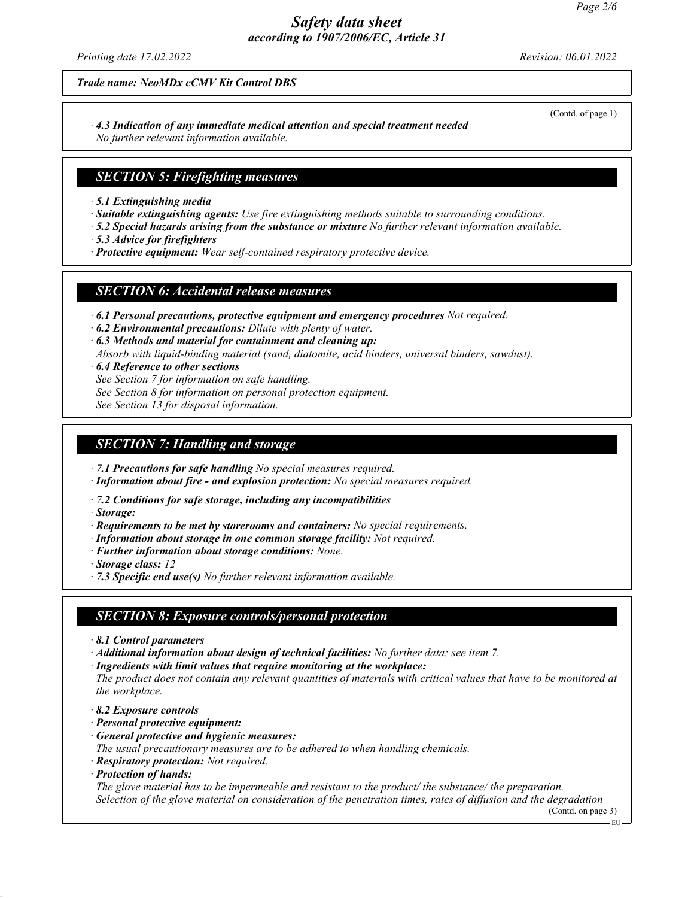*Printing date 17.02.2022 Revision: 06.01.2022*

*Trade name: NeoMDx cCMV Kit Control DBS*

*ꞏ 4.3 Indication of any immediate medical attention and special treatment needed No further relevant information available.*

### *SECTION 5: Firefighting measures*

*ꞏ 5.1 Extinguishing media*

- *ꞏ Suitable extinguishing agents: Use fire extinguishing methods suitable to surrounding conditions.*
- *ꞏ 5.2 Special hazards arising from the substance or mixture No further relevant information available.*
- *ꞏ 5.3 Advice for firefighters*
- *ꞏ Protective equipment: Wear self-contained respiratory protective device.*

### *SECTION 6: Accidental release measures*

- *ꞏ 6.1 Personal precautions, protective equipment and emergency procedures Not required.*
- *ꞏ 6.2 Environmental precautions: Dilute with plenty of water.*
- *ꞏ 6.3 Methods and material for containment and cleaning up:*
- *Absorb with liquid-binding material (sand, diatomite, acid binders, universal binders, sawdust).*
- *ꞏ 6.4 Reference to other sections*
- *See Section 7 for information on safe handling.*
- *See Section 8 for information on personal protection equipment.*

*See Section 13 for disposal information.*

### *SECTION 7: Handling and storage*

*ꞏ 7.1 Precautions for safe handling No special measures required.*

- *ꞏ Information about fire and explosion protection: No special measures required.*
- *ꞏ 7.2 Conditions for safe storage, including any incompatibilities*

*ꞏ Storage:*

- *ꞏ Requirements to be met by storerooms and containers: No special requirements.*
- *ꞏ Information about storage in one common storage facility: Not required.*
- *ꞏ Further information about storage conditions: None.*
- *ꞏ Storage class: 12*
- *ꞏ 7.3 Specific end use(s) No further relevant information available.*

## *SECTION 8: Exposure controls/personal protection*

- *ꞏ 8.1 Control parameters*
- *ꞏ Additional information about design of technical facilities: No further data; see item 7.*
- *ꞏ Ingredients with limit values that require monitoring at the workplace:*

*The product does not contain any relevant quantities of materials with critical values that have to be monitored at the workplace.*

- *ꞏ 8.2 Exposure controls*
- *ꞏ Personal protective equipment:*
- *ꞏ General protective and hygienic measures:*
- *The usual precautionary measures are to be adhered to when handling chemicals.*
- *ꞏ Respiratory protection: Not required.*
- *ꞏ Protection of hands:*

*The glove material has to be impermeable and resistant to the product/ the substance/ the preparation. Selection of the glove material on consideration of the penetration times, rates of diffusion and the degradation*

(Contd. on page 3)

(Contd. of page 1)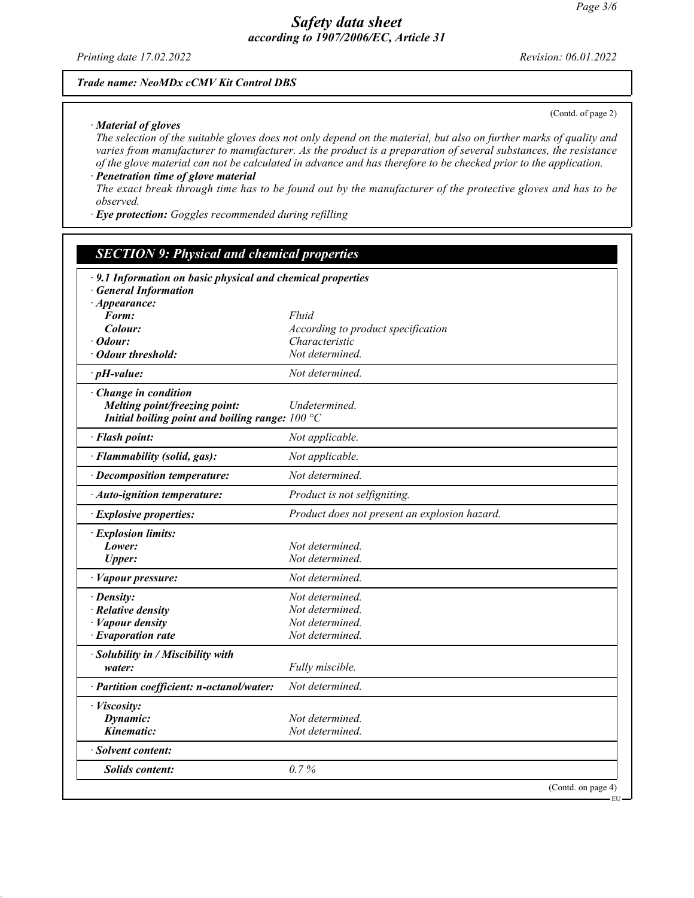*Printing date 17.02.2022 Revision: 06.01.2022*

### *Trade name: NeoMDx cCMV Kit Control DBS*

#### *ꞏ Material of gloves*

(Contd. of page 2)

EU

*The selection of the suitable gloves does not only depend on the material, but also on further marks of quality and varies from manufacturer to manufacturer. As the product is a preparation of several substances, the resistance of the glove material can not be calculated in advance and has therefore to be checked prior to the application.*

*ꞏ Penetration time of glove material The exact break through time has to be found out by the manufacturer of the protective gloves and has to be observed.*

*ꞏ Eye protection: Goggles recommended during refilling*

## *SECTION 9: Physical and chemical properties*

| · 9.1 Information on basic physical and chemical properties                                                 |                                               |
|-------------------------------------------------------------------------------------------------------------|-----------------------------------------------|
| <b>General Information</b>                                                                                  |                                               |
| $\cdot$ Appearance:<br>Form:                                                                                | Fluid                                         |
| Colour:                                                                                                     | According to product specification            |
| $\cdot$ Odour:                                                                                              | Characteristic                                |
| · Odour threshold:                                                                                          | Not determined.                               |
| $\cdot$ pH-value:                                                                                           | Not determined.                               |
| · Change in condition<br>Melting point/freezing point:<br>Initial boiling point and boiling range: $100 °C$ | Undetermined.                                 |
| · Flash point:                                                                                              | Not applicable.                               |
| · Flammability (solid, gas):                                                                                | Not applicable.                               |
| $\cdot$ Decomposition temperature:                                                                          | Not determined.                               |
| · Auto-ignition temperature:                                                                                | Product is not selfigniting.                  |
| · Explosive properties:                                                                                     | Product does not present an explosion hazard. |
| · Explosion limits:                                                                                         |                                               |
| Lower:                                                                                                      | Not determined.                               |
| <b>Upper:</b>                                                                                               | Not determined.                               |
| · Vapour pressure:                                                                                          | Not determined.                               |
| · Density:                                                                                                  | Not determined.                               |
| · Relative density                                                                                          | Not determined.                               |
| · Vapour density                                                                                            | Not determined.                               |
| $\cdot$ Evaporation rate                                                                                    | Not determined.                               |
| · Solubility in / Miscibility with                                                                          |                                               |
| water:                                                                                                      | Fully miscible.                               |
| · Partition coefficient: n-octanol/water:                                                                   | Not determined.                               |
| · Viscosity:                                                                                                |                                               |
| Dynamic:                                                                                                    | Not determined.                               |
| Kinematic:                                                                                                  | Not determined.                               |
| · Solvent content:                                                                                          |                                               |
| <b>Solids content:</b>                                                                                      | 0.7%                                          |
|                                                                                                             | (Contd. on page 4)                            |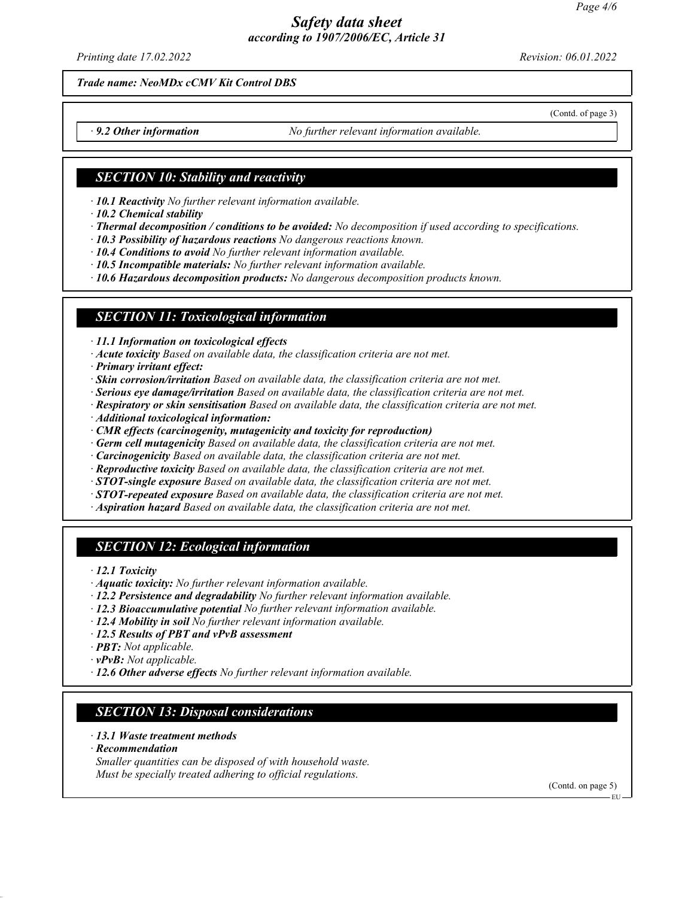*Printing date 17.02.2022 Revision: 06.01.2022*

(Contd. of page 3)

*Trade name: NeoMDx cCMV Kit Control DBS*

*9.2 Other information No further relevant information available.* 

### *SECTION 10: Stability and reactivity*

*ꞏ 10.1 Reactivity No further relevant information available.*

*ꞏ 10.2 Chemical stability*

- *ꞏ Thermal decomposition / conditions to be avoided: No decomposition if used according to specifications.*
- *ꞏ 10.3 Possibility of hazardous reactions No dangerous reactions known.*
- *ꞏ 10.4 Conditions to avoid No further relevant information available.*
- *ꞏ 10.5 Incompatible materials: No further relevant information available.*

*ꞏ 10.6 Hazardous decomposition products: No dangerous decomposition products known.*

### *SECTION 11: Toxicological information*

*ꞏ 11.1 Information on toxicological effects*

- *ꞏ Acute toxicity Based on available data, the classification criteria are not met.*
- *ꞏ Primary irritant effect:*
- *ꞏ Skin corrosion/irritation Based on available data, the classification criteria are not met.*
- *ꞏ Serious eye damage/irritation Based on available data, the classification criteria are not met.*
- *ꞏ Respiratory or skin sensitisation Based on available data, the classification criteria are not met.*
- *ꞏ Additional toxicological information:*
- *ꞏ CMR effects (carcinogenity, mutagenicity and toxicity for reproduction)*
- *ꞏ Germ cell mutagenicity Based on available data, the classification criteria are not met.*
- *ꞏ Carcinogenicity Based on available data, the classification criteria are not met.*
- *ꞏ Reproductive toxicity Based on available data, the classification criteria are not met.*
- *ꞏ STOT-single exposure Based on available data, the classification criteria are not met.*
- *ꞏ STOT-repeated exposure Based on available data, the classification criteria are not met.*
- *ꞏ Aspiration hazard Based on available data, the classification criteria are not met.*

### *SECTION 12: Ecological information*

*ꞏ 12.1 Toxicity*

- *ꞏ Aquatic toxicity: No further relevant information available.*
- *ꞏ 12.2 Persistence and degradability No further relevant information available.*
- *ꞏ 12.3 Bioaccumulative potential No further relevant information available.*
- *ꞏ 12.4 Mobility in soil No further relevant information available.*
- *ꞏ 12.5 Results of PBT and vPvB assessment*
- *ꞏ PBT: Not applicable.*
- *ꞏ vPvB: Not applicable.*
- *ꞏ 12.6 Other adverse effects No further relevant information available.*

# *SECTION 13: Disposal considerations*

- *ꞏ 13.1 Waste treatment methods*
- *ꞏ Recommendation*
- *Smaller quantities can be disposed of with household waste. Must be specially treated adhering to official regulations.*

(Contd. on page 5)

EU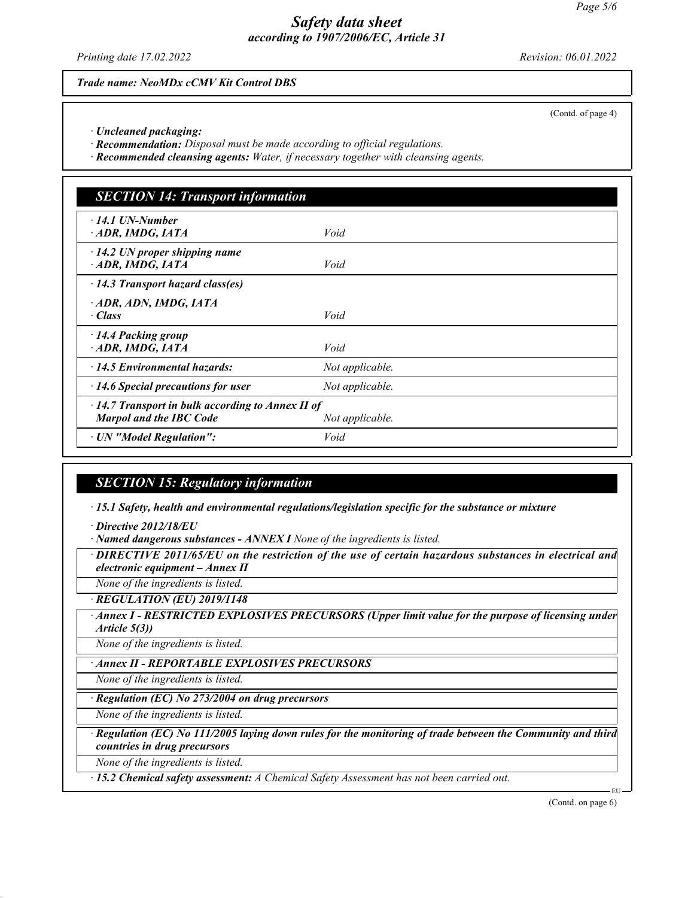*Printing date 17.02.2022 Revision: 06.01.2022*

*Trade name: NeoMDx cCMV Kit Control DBS*

(Contd. of page 4)

*ꞏ Uncleaned packaging:*

*ꞏ Recommendation: Disposal must be made according to official regulations.*

*ꞏ Recommended cleansing agents: Water, if necessary together with cleansing agents.*

| <b>SECTION 14: Transport information</b>                                                  |                 |  |
|-------------------------------------------------------------------------------------------|-----------------|--|
| $\cdot$ 14.1 UN-Number<br>· ADR, IMDG, IATA                                               | Void            |  |
| $\cdot$ 14.2 UN proper shipping name<br>ADR, IMDG, IATA                                   | Void            |  |
| $\cdot$ 14.3 Transport hazard class(es)                                                   |                 |  |
| ADR, ADN, IMDG, IATA<br>· Class                                                           | Void            |  |
| $\cdot$ 14.4 Packing group<br>ADR, IMDG, IATA                                             | Void            |  |
| 14.5 Environmental hazards:                                                               | Not applicable. |  |
| $\cdot$ 14.6 Special precautions for user                                                 | Not applicable. |  |
| $\cdot$ 14.7 Transport in bulk according to Annex II of<br><b>Marpol and the IBC Code</b> | Not applicable. |  |
| · UN "Model Regulation":                                                                  | Void            |  |

## *SECTION 15: Regulatory information*

*ꞏ 15.1 Safety, health and environmental regulations/legislation specific for the substance or mixture*

*ꞏ Directive 2012/18/EU*

*ꞏ Named dangerous substances - ANNEX I None of the ingredients is listed.*

*ꞏ DIRECTIVE 2011/65/EU on the restriction of the use of certain hazardous substances in electrical and electronic equipment – Annex II*

*None of the ingredients is listed.*

*ꞏ REGULATION (EU) 2019/1148*

*<b>Annex I - RESTRICTED EXPLOSIVES PRECURSORS (Upper limit value for the purpose of licensing under Article 5(3))*

*None of the ingredients is listed.*

*ꞏ Annex II - REPORTABLE EXPLOSIVES PRECURSORS*

*None of the ingredients is listed.*

*ꞏ Regulation (EC) No 273/2004 on drug precursors*

*None of the ingredients is listed.*

*ꞏ Regulation (EC) No 111/2005 laying down rules for the monitoring of trade between the Community and third countries in drug precursors*

*None of the ingredients is listed.*

*ꞏ 15.2 Chemical safety assessment: A Chemical Safety Assessment has not been carried out.*

(Contd. on page 6)

EU